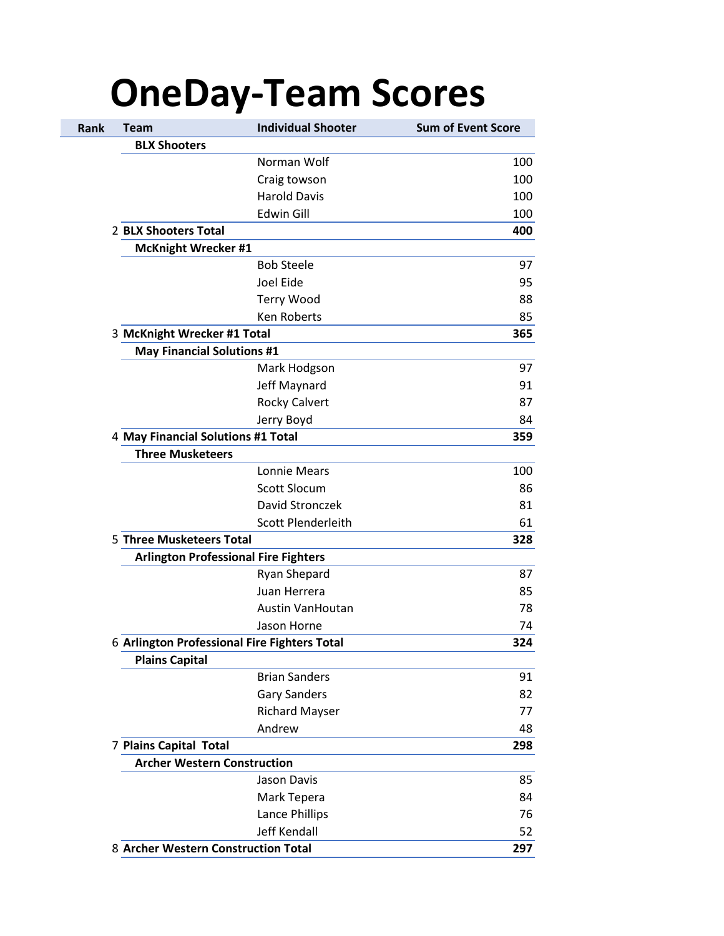## **OneDay-Team Scores**

| <b>Rank</b> | <b>Team</b>                                 | <b>Individual Shooter</b>                    | <b>Sum of Event Score</b> |
|-------------|---------------------------------------------|----------------------------------------------|---------------------------|
|             | <b>BLX Shooters</b>                         |                                              |                           |
|             |                                             | Norman Wolf                                  | 100                       |
|             |                                             | Craig towson                                 | 100                       |
|             |                                             | <b>Harold Davis</b>                          | 100                       |
|             |                                             | Edwin Gill                                   | 100                       |
|             | 2 BLX Shooters Total                        |                                              | 400                       |
|             | <b>McKnight Wrecker #1</b>                  |                                              |                           |
|             |                                             | <b>Bob Steele</b>                            | 97                        |
|             |                                             | Joel Eide                                    | 95                        |
|             |                                             | <b>Terry Wood</b>                            | 88                        |
|             |                                             | <b>Ken Roberts</b>                           | 85                        |
|             | 3 McKnight Wrecker #1 Total                 |                                              | 365                       |
|             | <b>May Financial Solutions #1</b>           |                                              |                           |
|             |                                             | Mark Hodgson                                 | 97                        |
|             |                                             | Jeff Maynard                                 | 91                        |
|             |                                             | <b>Rocky Calvert</b>                         | 87                        |
|             |                                             | Jerry Boyd                                   | 84                        |
|             | 4 May Financial Solutions #1 Total          |                                              | 359                       |
|             | <b>Three Musketeers</b>                     |                                              |                           |
|             |                                             | Lonnie Mears                                 | 100                       |
|             |                                             | <b>Scott Slocum</b>                          | 86                        |
|             |                                             | David Stronczek                              | 81                        |
|             |                                             | <b>Scott Plenderleith</b>                    | 61                        |
|             | <b>5 Three Musketeers Total</b>             |                                              | 328                       |
|             | <b>Arlington Professional Fire Fighters</b> |                                              |                           |
|             |                                             | Ryan Shepard                                 | 87                        |
|             |                                             | Juan Herrera                                 | 85                        |
|             |                                             | <b>Austin VanHoutan</b>                      | 78                        |
|             |                                             | Jason Horne                                  | 74                        |
|             |                                             | 6 Arlington Professional Fire Fighters Total | 324                       |
|             | <b>Plains Capital</b>                       |                                              |                           |
|             |                                             | <b>Brian Sanders</b>                         | 91                        |
|             |                                             | <b>Gary Sanders</b>                          | 82                        |
|             |                                             | <b>Richard Mayser</b>                        | 77                        |
|             |                                             | Andrew                                       | 48                        |
|             | 7 Plains Capital Total                      |                                              | 298                       |
|             | <b>Archer Western Construction</b>          |                                              |                           |
|             |                                             | <b>Jason Davis</b>                           | 85                        |
|             |                                             | Mark Tepera                                  | 84                        |
|             |                                             | Lance Phillips                               | 76                        |
|             |                                             | <b>Jeff Kendall</b>                          | 52                        |
|             | 8 Archer Western Construction Total         |                                              | 297                       |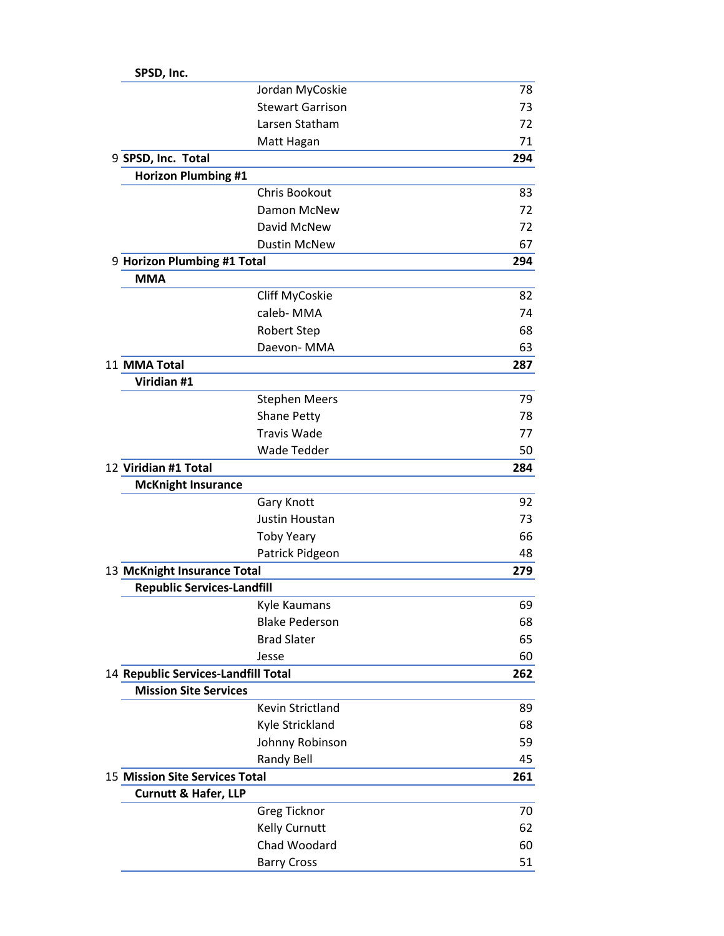| SPSD, Inc.                          |                         |     |
|-------------------------------------|-------------------------|-----|
|                                     | Jordan MyCoskie         | 78  |
|                                     | <b>Stewart Garrison</b> | 73  |
|                                     | Larsen Statham          | 72  |
|                                     | Matt Hagan              | 71  |
| 9 SPSD, Inc. Total                  |                         | 294 |
| <b>Horizon Plumbing #1</b>          |                         |     |
|                                     | <b>Chris Bookout</b>    | 83  |
|                                     | Damon McNew             | 72  |
|                                     | David McNew             | 72  |
|                                     | <b>Dustin McNew</b>     | 67  |
| 9 Horizon Plumbing #1 Total         |                         | 294 |
| <b>MMA</b>                          |                         |     |
|                                     | Cliff MyCoskie          | 82  |
|                                     | caleb-MMA               | 74  |
|                                     | Robert Step             | 68  |
|                                     | Daevon-MMA              | 63  |
| 11 MMA Total                        |                         | 287 |
| Viridian #1                         |                         |     |
|                                     | <b>Stephen Meers</b>    | 79  |
|                                     | <b>Shane Petty</b>      | 78  |
|                                     | <b>Travis Wade</b>      | 77  |
|                                     | <b>Wade Tedder</b>      | 50  |
| 12 Viridian #1 Total                |                         | 284 |
| <b>McKnight Insurance</b>           |                         |     |
|                                     | Gary Knott              | 92  |
|                                     | Justin Houstan          | 73  |
|                                     | <b>Toby Yeary</b>       | 66  |
|                                     | Patrick Pidgeon         | 48  |
| 13 McKnight Insurance Total         |                         | 279 |
| <b>Republic Services-Landfill</b>   |                         |     |
|                                     | Kyle Kaumans            | 69  |
|                                     | <b>Blake Pederson</b>   | 68  |
|                                     | <b>Brad Slater</b>      | 65  |
|                                     | Jesse                   | 60  |
| 14 Republic Services-Landfill Total |                         | 262 |
| <b>Mission Site Services</b>        |                         |     |
|                                     | <b>Kevin Strictland</b> | 89  |
|                                     | Kyle Strickland         | 68  |
|                                     | Johnny Robinson         | 59  |
|                                     | Randy Bell              | 45  |
| 15 Mission Site Services Total      |                         | 261 |
| <b>Curnutt &amp; Hafer, LLP</b>     |                         |     |
|                                     | <b>Greg Ticknor</b>     | 70  |
|                                     | Kelly Curnutt           | 62  |
|                                     | Chad Woodard            | 60  |
|                                     | <b>Barry Cross</b>      | 51  |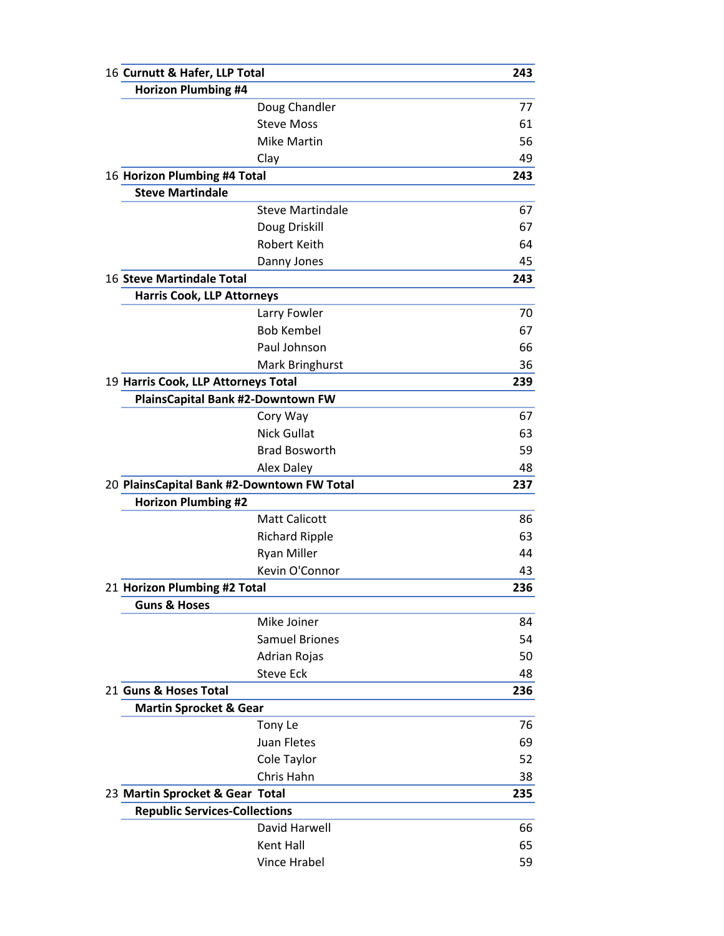| 16 Curnutt & Hafer, LLP Total       |                                            | 243 |
|-------------------------------------|--------------------------------------------|-----|
| <b>Horizon Plumbing #4</b>          |                                            |     |
|                                     | Doug Chandler                              | 77  |
|                                     | <b>Steve Moss</b>                          | 61  |
|                                     | <b>Mike Martin</b>                         | 56  |
|                                     | Clay                                       | 49  |
| 16 Horizon Plumbing #4 Total        |                                            | 243 |
| <b>Steve Martindale</b>             |                                            |     |
|                                     | <b>Steve Martindale</b>                    | 67  |
|                                     | Doug Driskill                              | 67  |
|                                     | Robert Keith                               | 64  |
|                                     | Danny Jones                                | 45  |
| <b>16 Steve Martindale Total</b>    |                                            | 243 |
|                                     | <b>Harris Cook, LLP Attorneys</b>          |     |
|                                     | Larry Fowler                               | 70  |
|                                     | <b>Bob Kembel</b>                          | 67  |
|                                     | Paul Johnson                               | 66  |
|                                     | Mark Bringhurst                            | 36  |
| 19 Harris Cook, LLP Attorneys Total |                                            | 239 |
|                                     | PlainsCapital Bank #2-Downtown FW          |     |
|                                     | Cory Way                                   | 67  |
|                                     | <b>Nick Gullat</b>                         | 63  |
|                                     | <b>Brad Bosworth</b>                       | 59  |
|                                     | Alex Daley                                 | 48  |
|                                     | 20 PlainsCapital Bank #2-Downtown FW Total | 237 |
| <b>Horizon Plumbing #2</b>          |                                            |     |
|                                     | <b>Matt Calicott</b>                       | 86  |
|                                     | <b>Richard Ripple</b>                      | 63  |
|                                     | <b>Ryan Miller</b>                         | 44  |
|                                     | Kevin O'Connor                             | 43  |
| 21 Horizon Plumbing #2 Total        |                                            | 236 |
| <b>Guns &amp; Hoses</b>             |                                            |     |
|                                     | Mike Joiner                                | 84  |
|                                     | <b>Samuel Briones</b>                      | 54  |
|                                     | Adrian Rojas                               | 50  |
|                                     | <b>Steve Eck</b>                           | 48  |
| 21 Guns & Hoses Total               |                                            | 236 |
| <b>Martin Sprocket &amp; Gear</b>   |                                            |     |
|                                     | Tony Le                                    | 76  |
|                                     | Juan Fletes                                | 69  |
|                                     | Cole Taylor                                | 52  |
|                                     | Chris Hahn                                 | 38  |
| 23 Martin Sprocket & Gear Total     |                                            | 235 |
|                                     | <b>Republic Services-Collections</b>       |     |
|                                     | David Harwell                              | 66  |
|                                     | Kent Hall                                  | 65  |
|                                     | <b>Vince Hrabel</b>                        | 59  |
|                                     |                                            |     |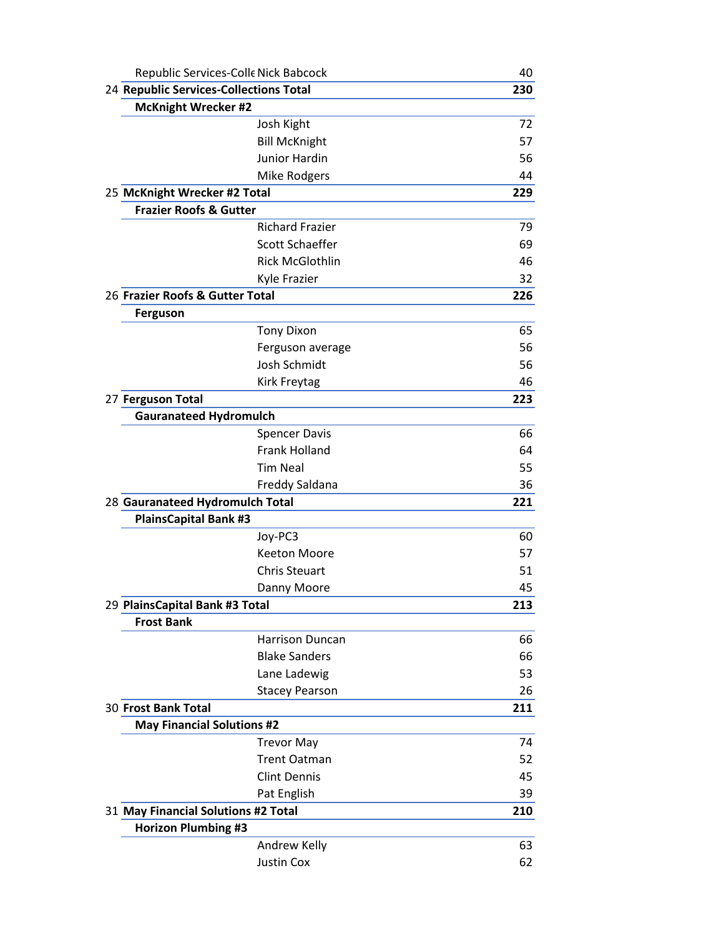| Republic Services-Colle Nick Babcock   | 40                     |     |
|----------------------------------------|------------------------|-----|
| 24 Republic Services-Collections Total |                        | 230 |
| <b>McKnight Wrecker #2</b>             |                        |     |
|                                        | Josh Kight             | 72  |
|                                        | <b>Bill McKnight</b>   | 57  |
|                                        | Junior Hardin          | 56  |
|                                        | Mike Rodgers           | 44  |
| 25 McKnight Wrecker #2 Total           |                        | 229 |
| <b>Frazier Roofs &amp; Gutter</b>      |                        |     |
|                                        | <b>Richard Frazier</b> | 79  |
|                                        | <b>Scott Schaeffer</b> | 69  |
|                                        | <b>Rick McGlothlin</b> | 46  |
|                                        | Kyle Frazier           | 32  |
| 26 Frazier Roofs & Gutter Total        |                        | 226 |
| <b>Ferguson</b>                        |                        |     |
|                                        | <b>Tony Dixon</b>      | 65  |
|                                        | Ferguson average       | 56  |
|                                        | Josh Schmidt           | 56  |
|                                        | <b>Kirk Freytag</b>    | 46  |
| 27 Ferguson Total                      |                        | 223 |
| <b>Gauranateed Hydromulch</b>          |                        |     |
|                                        | <b>Spencer Davis</b>   | 66  |
|                                        | <b>Frank Holland</b>   | 64  |
|                                        | <b>Tim Neal</b>        | 55  |
|                                        | Freddy Saldana         | 36  |
| 28 Gauranateed Hydromulch Total        |                        | 221 |
| <b>PlainsCapital Bank #3</b>           |                        |     |
|                                        | Joy-PC3                | 60  |
|                                        | <b>Keeton Moore</b>    | 57  |
|                                        | <b>Chris Steuart</b>   | 51  |
|                                        | Danny Moore            | 45  |
| 29 PlainsCapital Bank #3 Total         |                        | 213 |
| <b>Frost Bank</b>                      |                        |     |
|                                        | <b>Harrison Duncan</b> | 66  |
|                                        | <b>Blake Sanders</b>   | 66  |
|                                        | Lane Ladewig           | 53  |
|                                        | <b>Stacey Pearson</b>  | 26  |
| <b>30 Frost Bank Total</b>             |                        | 211 |
| <b>May Financial Solutions #2</b>      |                        |     |
|                                        | <b>Trevor May</b>      | 74  |
|                                        | <b>Trent Oatman</b>    | 52  |
|                                        | <b>Clint Dennis</b>    | 45  |
|                                        | Pat English            | 39  |
| 31 May Financial Solutions #2 Total    |                        | 210 |
| <b>Horizon Plumbing #3</b>             |                        |     |
|                                        | Andrew Kelly           | 63  |
|                                        | <b>Justin Cox</b>      | 62  |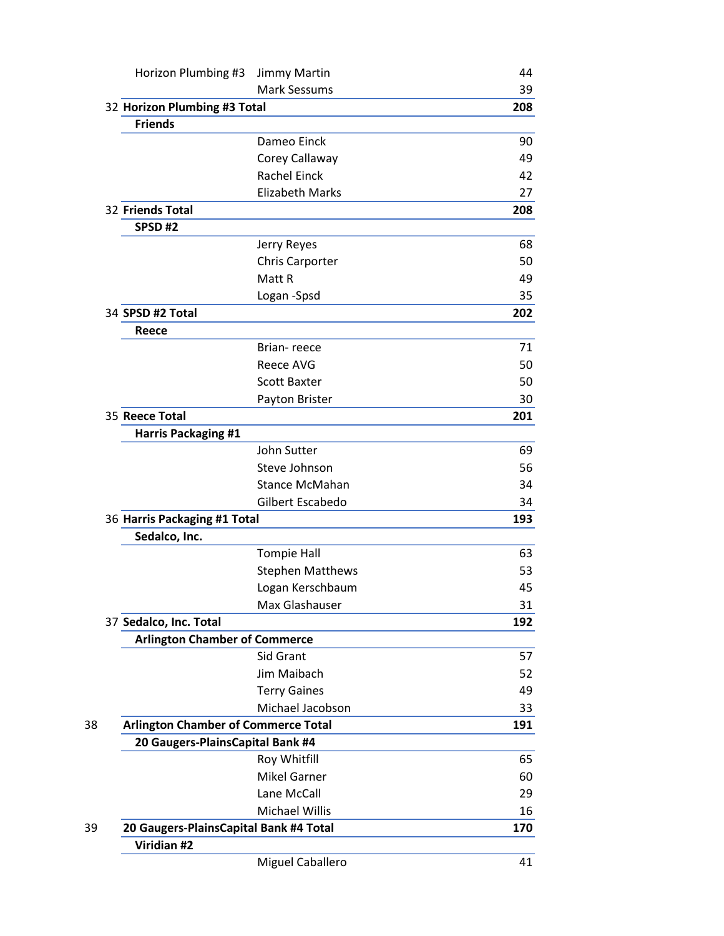| Horizon Plumbing #3                        | Jimmy Martin            | 44  |
|--------------------------------------------|-------------------------|-----|
|                                            | <b>Mark Sessums</b>     | 39  |
| 32 Horizon Plumbing #3 Total               |                         | 208 |
| <b>Friends</b>                             |                         |     |
|                                            | Dameo Einck             | 90  |
|                                            | Corey Callaway          | 49  |
|                                            | <b>Rachel Einck</b>     | 42  |
|                                            | <b>Elizabeth Marks</b>  | 27  |
| 32 Friends Total                           |                         | 208 |
| <b>SPSD #2</b>                             |                         |     |
|                                            | Jerry Reyes             | 68  |
|                                            | <b>Chris Carporter</b>  | 50  |
|                                            | Matt R                  | 49  |
|                                            | Logan -Spsd             | 35  |
| 34 SPSD #2 Total                           |                         | 202 |
| Reece                                      |                         |     |
|                                            | Brian-reece             | 71  |
|                                            | Reece AVG               | 50  |
|                                            | <b>Scott Baxter</b>     | 50  |
|                                            | Payton Brister          | 30  |
| 35 Reece Total                             |                         | 201 |
| <b>Harris Packaging #1</b>                 |                         |     |
|                                            | John Sutter             | 69  |
|                                            | Steve Johnson           | 56  |
|                                            | <b>Stance McMahan</b>   | 34  |
|                                            | Gilbert Escabedo        | 34  |
| 36 Harris Packaging #1 Total               |                         | 193 |
| Sedalco, Inc.                              |                         |     |
|                                            | <b>Tompie Hall</b>      | 63  |
|                                            | <b>Stephen Matthews</b> | 53  |
|                                            | Logan Kerschbaum        | 45  |
|                                            | Max Glashauser          | 31  |
| 37 Sedalco, Inc. Total                     |                         | 192 |
| <b>Arlington Chamber of Commerce</b>       |                         |     |
|                                            | Sid Grant               | 57  |
|                                            | Jim Maibach             | 52  |
|                                            | <b>Terry Gaines</b>     | 49  |
|                                            | Michael Jacobson        | 33  |
| <b>Arlington Chamber of Commerce Total</b> |                         | 191 |
| 20 Gaugers-PlainsCapital Bank #4           |                         |     |
|                                            | Roy Whitfill            | 65  |
|                                            | <b>Mikel Garner</b>     | 60  |
|                                            | Lane McCall             | 29  |
|                                            | Michael Willis          | 16  |
| 20 Gaugers-PlainsCapital Bank #4 Total     |                         | 170 |
| Viridian #2                                |                         |     |
|                                            | Miguel Caballero        | 41  |
|                                            |                         |     |